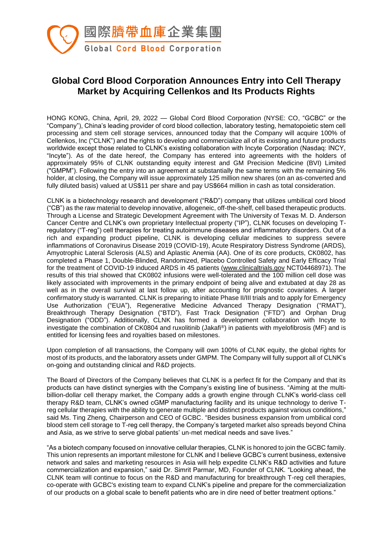

# **Global Cord Blood Corporation Announces Entry into Cell Therapy Market by Acquiring Cellenkos and Its Products Rights**

HONG KONG, China, April, 29, 2022 — Global Cord Blood Corporation (NYSE: CO, "GCBC" or the "Company"), China's leading provider of cord blood collection, laboratory testing, hematopoietic stem cell processing and stem cell storage services, announced today that the Company will acquire 100% of Cellenkos, Inc ("CLNK") and the rights to develop and commercialize all of its existing and future products worldwide except those related to CLNK's existing collaboration with Incyte Corporation (Nasdaq: INCY, "Incyte"). As of the date hereof, the Company has entered into agreements with the holders of approximately 95% of CLNK outstanding equity interest and GM Precision Medicine (BVI) Limited ("GMPM"). Following the entry into an agreement at substantially the same terms with the remaining 5% holder, at closing, the Company will issue approximately 125 million new shares (on an as-converted and fully diluted basis) valued at US\$11 per share and pay US\$664 million in cash as total consideration.

CLNK is a biotechnology research and development ("R&D") company that utilizes umbilical cord blood ("CB") as the raw material to develop innovative, allogeneic, off-the-shelf, cell based therapeutic products. Through a License and Strategic Development Agreement with The University of Texas M. D. Anderson Cancer Centre and CLNK's own proprietary Intellectual property ("IP"), CLNK focuses on developing Tregulatory ("T-reg") cell therapies for treating autoimmune diseases and inflammatory disorders. Out of a rich and expanding product pipeline, CLNK is developing cellular medicines to suppress severe inflammations of Coronavirus Disease 2019 (COVID-19), Acute Respiratory Distress Syndrome (ARDS), Amyotrophic Lateral Sclerosis (ALS) and Aplastic Anemia (AA). One of its core products, CK0802, has completed a Phase 1, Double-Blinded, Randomized, Placebo Controlled Safety and Early Efficacy Trial for the treatment of COVID-19 induced ARDS in 45 patients [\(www.clinicaltrials.gov](http://www.clinicaltrials.gov/) NCT04468971). The results of this trial showed that CK0802 infusions were well-tolerated and the 100 million cell dose was likely associated with improvements in the primary endpoint of being alive and extubated at day 28 as well as in the overall survival at last follow up, after accounting for prognostic covariates. A larger confirmatory study is warranted. CLNK is preparing to initiate Phase II/III trials and to apply for Emergency Use Authorization ("EUA"), Regenerative Medicine Advanced Therapy Designation ("RMAT"), Breakthrough Therapy Designation ("BTD"), Fast Track Designation ("FTD") and Orphan Drug Designation ("ODD"). Additionally, CLNK has formed a development collaboration with Incyte to investigate the combination of CK0804 and ruxolitinib (Jakafi®) in patients with myelofibrosis (MF) and is entitled for licensing fees and royalties based on milestones.

Upon completion of all transactions, the Company will own 100% of CLNK equity, the global rights for most of its products, and the laboratory assets under GMPM. The Company will fully support all of CLNK's on-going and outstanding clinical and R&D projects.

The Board of Directors of the Company believes that CLNK is a perfect fit for the Company and that its products can have distinct synergies with the Company's existing line of business. "Aiming at the multibillion-dollar cell therapy market, the Company adds a growth engine through CLNK's world-class cell therapy R&D team, CLNK's owned cGMP manufacturing facility and its unique technology to derive Treg cellular therapies with the ability to generate multiple and distinct products against various conditions," said Ms. Ting Zheng, Chairperson and CEO of GCBC. "Besides business expansion from umbilical cord blood stem cell storage to T-reg cell therapy, the Company's targeted market also spreads beyond China and Asia, as we strive to serve global patients' un-met medical needs and save lives."

"As a biotech company focused on innovative cellular therapies, CLNK is honored to join the GCBC family. This union represents an important milestone for CLNK and I believe GCBC's current business, extensive network and sales and marketing resources in Asia will help expedite CLNK's R&D activities and future commercialization and expansion," said Dr. Simrit Parmar, MD, Founder of CLNK. "Looking ahead, the CLNK team will continue to focus on the R&D and manufacturing for breakthrough T-reg cell therapies, co-operate with GCBC's existing team to expand CLNK's pipeline and prepare for the commercialization of our products on a global scale to benefit patients who are in dire need of better treatment options."